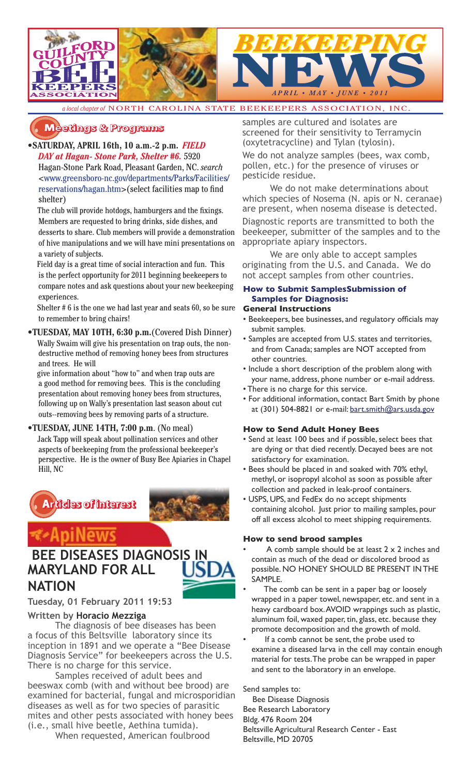

*a local chapter of* NORTH CAROLINA STATE BEEKEEPERS ASSOCIATION, INC.

### **�������� � ��������**

**•SATURDAY, APRIL 16th, 10 a.m.-2 p.m.** *FIELD DAY at Hagan- Stone Park, Shelter #6.* 5920

Hagan-Stone Park Road, Pleasant Garden, NC. *search* <www.greensboro-nc.gov/departments/Parks/Facilities/ reservations/hagan.htm>(select facilities map to find shelter)

The club will provide hotdogs, hamburgers and the fixings. Members are requested to bring drinks, side dishes, and desserts to share. Club members will provide a demonstration of hive manipulations and we will have mini presentations on a variety of subjects.

 Field day is a great time of social interaction and fun. This is the perfect opportunity for 2011 beginning beekeepers to compare notes and ask questions about your new beekeeping experiences.

 Shelter # 6 is the one we had last year and seats 60, so be sure to remember to bring chairs!

**•TUESDAY, MAY 10TH, 6:30 p.m.**(Covered Dish Dinner)

 Wally Swaim will give his presentation on trap outs, the nondestructive method of removing honey bees from structures and trees. He will

 give information about "how to" and when trap outs are a good method for removing bees. This is the concluding presentation about removing honey bees from structures, following up on Wally's presentation last season about cut outs--removing bees by removing parts of a structure.

### **•TUESDAY, JUNE 14TH, 7:00 p.m**. (No meal)

 Jack Tapp will speak about pollination services and other aspects of beekeeping from the professional beekeeper's perspective. He is the owner of Busy Bee Apiaries in Chapel Hill, NC



## piNews

## **BEE DISEASES DIAGNOSIS IN MARYLAND FOR ALL NATION**



### **Written by Horacio Mezziga**

The diagnosis of bee diseases has been a focus of this Beltsville laboratory since its inception in 1891 and we operate a "Bee Disease Diagnosis Service" for beekeepers across the U.S. There is no charge for this service.

Samples received of adult bees and beeswax comb (with and without bee brood) are examined for bacterial, fungal and microsporidian diseases as well as for two species of parasitic mites and other pests associated with honey bees (i.e., small hive beetle, Aethina tumida).

When requested, American foulbrood

samples are cultured and isolates are screened for their sensitivity to Terramycin (oxytetracycline) and Tylan (tylosin).

We do not analyze samples (bees, wax comb, pollen, etc.) for the presence of viruses or pesticide residue.

We do not make determinations about which species of Nosema (N. apis or N. ceranae) are present, when nosema disease is detected.

Diagnostic reports are transmitted to both the beekeeper, submitter of the samples and to the appropriate apiary inspectors.

We are only able to accept samples originating from the U.S. and Canada. We do not accept samples from other countries.

### **How to Submit SamplesSubmission of Samples for Diagnosis:**

### **General Instructions**

- Beekeepers, bee businesses, and regulatory officials may submit samples.
- Samples are accepted from U.S. states and territories, and from Canada; samples are NOT accepted from other countries.
- Include a short description of the problem along with your name, address, phone number or e-mail address.
- There is no charge for this service.
- For additional information, contact Bart Smith by phone at (301) 504-8821 or e-mail: bart.smith@ars.usda.gov

### **How to Send Adult Honey Bees**

- Send at least 100 bees and if possible, select bees that are dying or that died recently. Decayed bees are not satisfactory for examination.
- Bees should be placed in and soaked with 70% ethyl, methyl, or isopropyl alcohol as soon as possible after collection and packed in leak-proof containers.
- USPS, UPS, and FedEx do no accept shipments containing alcohol. Just prior to mailing samples, pour off all excess alcohol to meet shipping requirements.

### **How to send brood samples**

- A comb sample should be at least  $2 \times 2$  inches and contain as much of the dead or discolored brood as possible. NO HONEY SHOULD BE PRESENT IN THE SAMPLE.
- The comb can be sent in a paper bag or loosely wrapped in a paper towel, newspaper, etc. and sent in a heavy cardboard box. AVOID wrappings such as plastic, aluminum foil, waxed paper, tin, glass, etc. because they promote decomposition and the growth of mold.
- If a comb cannot be sent, the probe used to examine a diseased larva in the cell may contain enough material for tests. The probe can be wrapped in paper and sent to the laboratory in an envelope.

Send samples to: Bee Disease Diagnosis Bee Research Laboratory Bldg. 476 Room 204 Beltsville Agricultural Research Center - East

Beltsville, MD 20705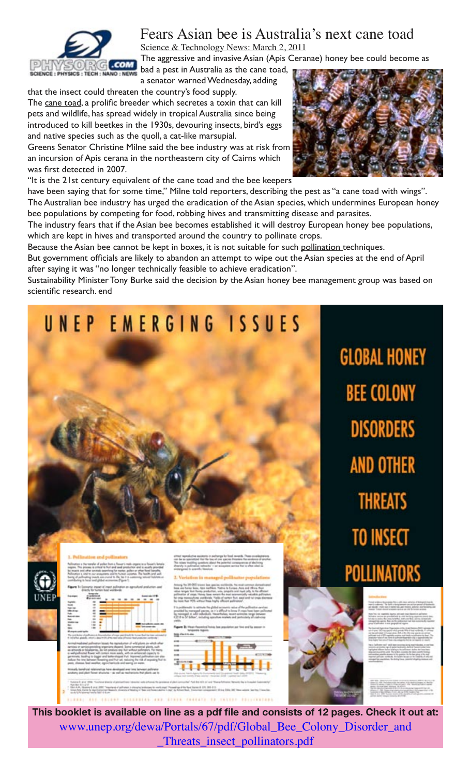

## Fears Asian bee is Australia's next cane toad Science & Technology News: March 2, 2011

The aggressive and invasive Asian (Apis Ceranae) honey bee could become as

bad a pest in Australia as the cane toad, a senator warned Wednesday, adding

that the insect could threaten the country's food supply.

The cane toad, a prolific breeder which secretes a toxin that can kill pets and wildlife, has spread widely in tropical Australia since being introduced to kill beetkes in the 1930s, devouring insects, bird's eggs and native species such as the quoll, a cat-like marsupial.

Greens Senator Christine Milne said the bee industry was at risk from an incursion of Apis cerana in the northeastern city of Cairns which was first detected in 2007.

"It is the 21st century equivalent of the cane toad and the bee keepers

have been saying that for some time," Milne told reporters, describing the pest as "a cane toad with wings". The Australian bee industry has urged the eradication of the Asian species, which undermines European honey bee populations by competing for food, robbing hives and transmitting disease and parasites.

The industry fears that if the Asian bee becomes established it will destroy European honey bee populations, which are kept in hives and transported around the country to pollinate crops.

Because the Asian bee cannot be kept in boxes, it is not suitable for such pollination techniques.

But government officials are likely to abandon an attempt to wipe out the Asian species at the end of April after saying it was "no longer technically feasible to achieve eradication".

Sustainability Minister Tony Burke said the decision by the Asian honey bee management group was based on scientific research. end

# UNEP EMERGING ISSUES





THEO THERE'S AD THE GRUE D. GUD BUOYER

**GLOBAL HONEY BEE COLONY DISORDERS AND OTHER THREATS TO INSECT POLLINATORS** 



**This booklet is available on line as a pdf file and consists of 12 pages. Check it out at:**  www.unep.org/dewa/Portals/67/pdf/Global\_Bee\_Colony\_Disorder\_and \_Threats\_insect\_pollinators.pdf

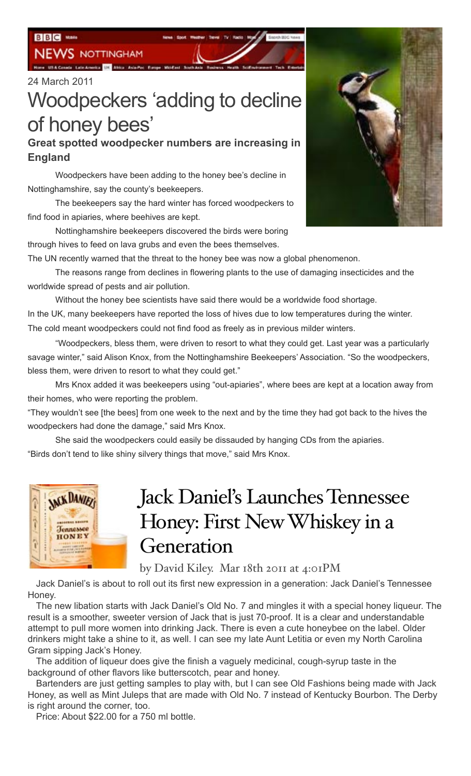**NEWS NOTTINGHAM** 

**CONTRACTOR IN ASSOCIATION** 

### 24 March 2011

# Woodpeckers 'adding to decline of honey bees'

## **Great spotted woodpecker numbers are increasing in England**

Woodpeckers have been adding to the honey bee's decline in Nottinghamshire, say the county's beekeepers.

The beekeepers say the hard winter has forced woodpeckers to find food in apiaries, where beehives are kept.

Nottinghamshire beekeepers discovered the birds were boring through hives to feed on lava grubs and even the bees themselves.

The UN recently warned that the threat to the honey bee was now a global phenomenon.

The reasons range from declines in flowering plants to the use of damaging insecticides and the worldwide spread of pests and air pollution.

Without the honey bee scientists have said there would be a worldwide food shortage. In the UK, many beekeepers have reported the loss of hives due to low temperatures during the winter. The cold meant woodpeckers could not find food as freely as in previous milder winters.

"Woodpeckers, bless them, were driven to resort to what they could get. Last year was a particularly savage winter," said Alison Knox, from the Nottinghamshire Beekeepers' Association. "So the woodpeckers, bless them, were driven to resort to what they could get."

Mrs Knox added it was beekeepers using "out-apiaries", where bees are kept at a location away from their homes, who were reporting the problem.

"They wouldn't see [the bees] from one week to the next and by the time they had got back to the hives the woodpeckers had done the damage," said Mrs Knox.

She said the woodpeckers could easily be dissauded by hanging CDs from the apiaries. "Birds don't tend to like shiny silvery things that move," said Mrs Knox.



# Jack Daniel's Launches Tennessee Honey: First New Whiskey in a Generation

by David Kiley. Mar 18th 2011 at 4:01PM

Jack Daniel's is about to roll out its first new expression in a generation: Jack Daniel's Tennessee Honey.

The new libation starts with Jack Daniel's Old No. 7 and mingles it with a special honey liqueur. The result is a smoother, sweeter version of Jack that is just 70-proof. It is a clear and understandable attempt to pull more women into drinking Jack. There is even a cute honeybee on the label. Older drinkers might take a shine to it, as well. I can see my late Aunt Letitia or even my North Carolina Gram sipping Jack's Honey.

The addition of liqueur does give the finish a vaguely medicinal, cough-syrup taste in the background of other flavors like butterscotch, pear and honey.

Bartenders are just getting samples to play with, but I can see Old Fashions being made with Jack Honey, as well as Mint Juleps that are made with Old No. 7 instead of Kentucky Bourbon. The Derby is right around the corner, too.

Price: About \$22.00 for a 750 ml bottle.

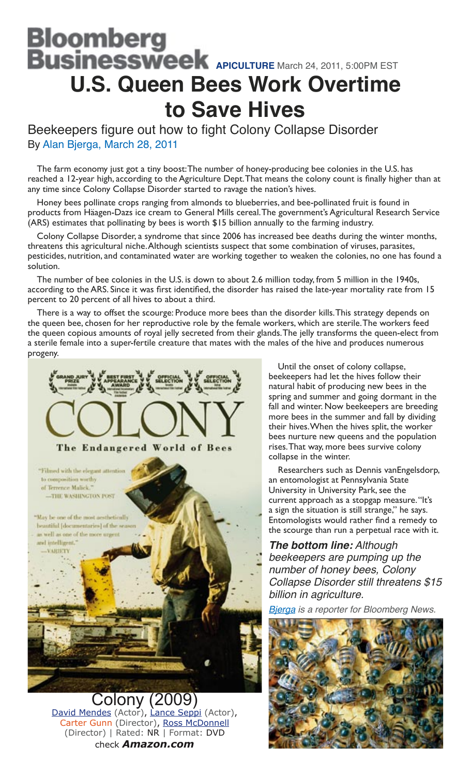# <u>B</u>loomberg **Businessweek** APICULTURE March 24, 2011, 5:00PM EST **U.S. Queen Bees Work Overtime to Save Hives**

Beekeepers figure out how to fight Colony Collapse Disorder By Alan Bjerga, March 28, 2011

The farm economy just got a tiny boost: The number of honey-producing bee colonies in the U.S. has reached a 12-year high, according to the Agriculture Dept. That means the colony count is finally higher than at any time since Colony Collapse Disorder started to ravage the nation's hives.

Honey bees pollinate crops ranging from almonds to blueberries, and bee-pollinated fruit is found in products from Häagen-Dazs ice cream to General Mills cereal. The government's Agricultural Research Service (ARS) estimates that pollinating by bees is worth \$15 billion annually to the farming industry.

Colony Collapse Disorder, a syndrome that since 2006 has increased bee deaths during the winter months, threatens this agricultural niche. Although scientists suspect that some combination of viruses, parasites, pesticides, nutrition, and contaminated water are working together to weaken the colonies, no one has found a solution.

The number of bee colonies in the U.S. is down to about 2.6 million today, from 5 million in the 1940s, according to the ARS. Since it was first identified, the disorder has raised the late-year mortality rate from 15 percent to 20 percent of all hives to about a third.

There is a way to offset the scourge: Produce more bees than the disorder kills. This strategy depends on the queen bee, chosen for her reproductive role by the female workers, which are sterile. The workers feed the queen copious amounts of royal jelly secreted from their glands. The jelly transforms the queen-elect from a sterile female into a super-fertile creature that mates with the males of the hive and produces numerous progeny.



olony David Mendes (Actor), Lance Seppi (Actor), Carter Gunn (Director), Ross McDonnell (Director) | Rated: NR | Format: DVD check *Amazon.com*

Until the onset of colony collapse, beekeepers had let the hives follow their natural habit of producing new bees in the spring and summer and going dormant in the fall and winter. Now beekeepers are breeding more bees in the summer and fall by dividing their hives. When the hives split, the worker bees nurture new queens and the population rises. That way, more bees survive colony collapse in the winter.

Researchers such as Dennis vanEngelsdorp, an entomologist at Pennsylvania State University in University Park, see the current approach as a stopgap measure. "It's a sign the situation is still strange," he says. Entomologists would rather find a remedy to the scourge than run a perpetual race with it.

**The bottom line:** Although beekeepers are pumping up the number of honey bees, Colony Collapse Disorder still threatens \$15 billion in agriculture.

**Bjerga** is a reporter for Bloomberg News.

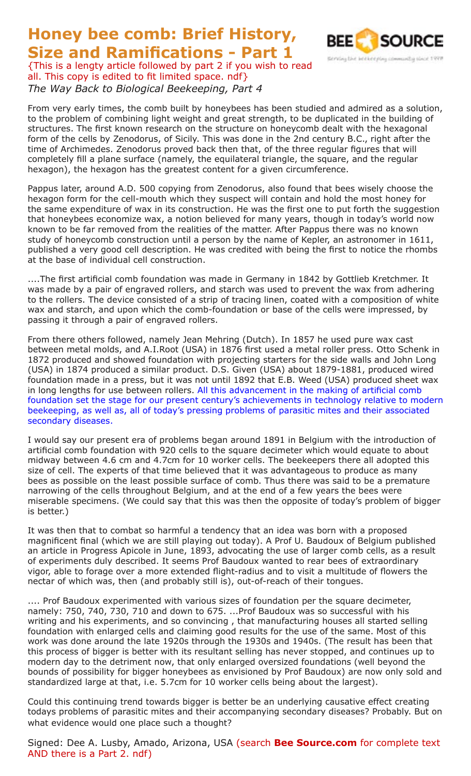**Size and Ramifications - Part 1** {This is a lengty article followed by part 2 if you wish to read all. This copy is edited to fit limited space. ndf} *The Way Back to Biological Beekeeping, Part 4*

**Honey bee comb: Brief History,** 



From very early times, the comb built by honeybees has been studied and admired as a solution, to the problem of combining light weight and great strength, to be duplicated in the building of structures. The first known research on the structure on honeycomb dealt with the hexagonal form of the cells by Zenodorus, of Sicily. This was done in the 2nd century B.C., right after the time of Archimedes. Zenodorus proved back then that, of the three regular figures that will completely fill a plane surface (namely, the equilateral triangle, the square, and the regular hexagon), the hexagon has the greatest content for a given circumference.

Pappus later, around A.D. 500 copying from Zenodorus, also found that bees wisely choose the hexagon form for the cell-mouth which they suspect will contain and hold the most honey for the same expenditure of wax in its construction. He was the first one to put forth the suggestion that honeybees economize wax, a notion believed for many years, though in today's world now known to be far removed from the realities of the matter. After Pappus there was no known study of honeycomb construction until a person by the name of Kepler, an astronomer in 1611, published a very good cell description. He was credited with being the first to notice the rhombs at the base of individual cell construction.

....The first artificial comb foundation was made in Germany in 1842 by Gottlieb Kretchmer. It was made by a pair of engraved rollers, and starch was used to prevent the wax from adhering to the rollers. The device consisted of a strip of tracing linen, coated with a composition of white wax and starch, and upon which the comb-foundation or base of the cells were impressed, by passing it through a pair of engraved rollers.

From there others followed, namely Jean Mehring (Dutch). In 1857 he used pure wax cast between metal molds, and A.I.Root (USA) in 1876 first used a metal roller press. Otto Schenk in 1872 produced and showed foundation with projecting starters for the side walls and John Long (USA) in 1874 produced a similar product. D.S. Given (USA) about 1879-1881, produced wired foundation made in a press, but it was not until 1892 that E.B. Weed (USA) produced sheet wax in long lengths for use between rollers. All this advancement in the making of artificial comb foundation set the stage for our present century's achievements in technology relative to modern beekeeping, as well as, all of today's pressing problems of parasitic mites and their associated secondary diseases.

I would say our present era of problems began around 1891 in Belgium with the introduction of artificial comb foundation with 920 cells to the square decimeter which would equate to about midway between 4.6 cm and 4.7cm for 10 worker cells. The beekeepers there all adopted this size of cell. The experts of that time believed that it was advantageous to produce as many bees as possible on the least possible surface of comb. Thus there was said to be a premature narrowing of the cells throughout Belgium, and at the end of a few years the bees were miserable specimens. (We could say that this was then the opposite of today's problem of bigger is better.)

It was then that to combat so harmful a tendency that an idea was born with a proposed magnificent final (which we are still playing out today). A Prof U. Baudoux of Belgium published an article in Progress Apicole in June, 1893, advocating the use of larger comb cells, as a result of experiments duly described. It seems Prof Baudoux wanted to rear bees of extraordinary vigor, able to forage over a more extended flight-radius and to visit a multitude of flowers the nectar of which was, then (and probably still is), out-of-reach of their tongues.

.... Prof Baudoux experimented with various sizes of foundation per the square decimeter, namely: 750, 740, 730, 710 and down to 675. ...Prof Baudoux was so successful with his writing and his experiments, and so convincing , that manufacturing houses all started selling foundation with enlarged cells and claiming good results for the use of the same. Most of this work was done around the late 1920s through the 1930s and 1940s. (The result has been that this process of bigger is better with its resultant selling has never stopped, and continues up to modern day to the detriment now, that only enlarged oversized foundations (well beyond the bounds of possibility for bigger honeybees as envisioned by Prof Baudoux) are now only sold and standardized large at that, i.e. 5.7cm for 10 worker cells being about the largest).

Could this continuing trend towards bigger is better be an underlying causative effect creating todays problems of parasitic mites and their accompanying secondary diseases? Probably. But on what evidence would one place such a thought?

Signed: Dee A. Lusby, Amado, Arizona, USA (search **Bee Source.com** for complete text AND there is a Part 2. ndf)